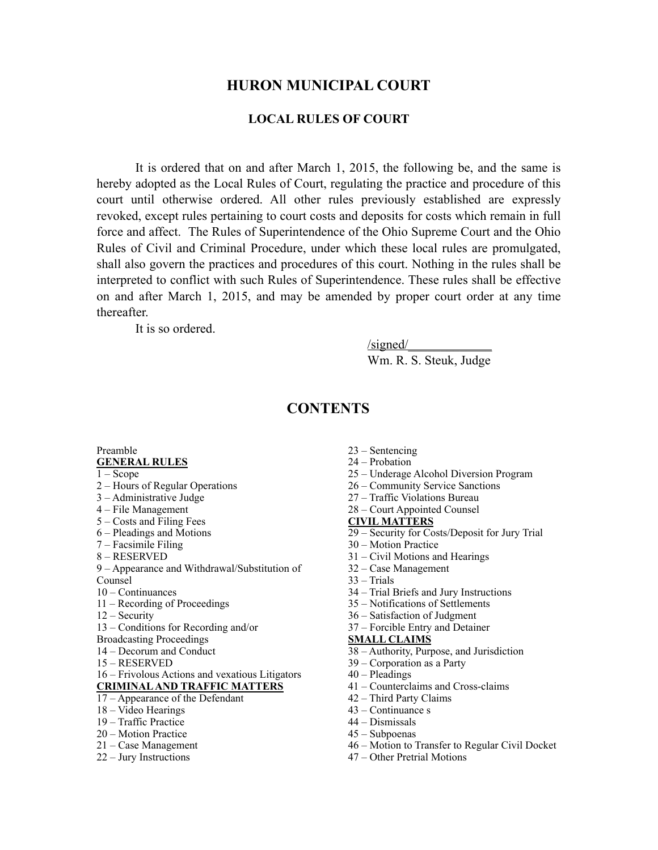### **HURON MUNICIPAL COURT**

#### **LOCAL RULES OF COURT**

It is ordered that on and after March 1, 2015, the following be, and the same is hereby adopted as the Local Rules of Court, regulating the practice and procedure of this court until otherwise ordered. All other rules previously established are expressly revoked, except rules pertaining to court costs and deposits for costs which remain in full force and affect. The Rules of Superintendence of the Ohio Supreme Court and the Ohio Rules of Civil and Criminal Procedure, under which these local rules are promulgated, shall also govern the practices and procedures of this court. Nothing in the rules shall be interpreted to conflict with such Rules of Superintendence. These rules shall be effective on and after March 1, 2015, and may be amended by proper court order at any time thereafter.

It is so ordered.

 $\sqrt{\text{signed}}$ 

Wm. R. S. Steuk, Judge

# **CONTENTS**

#### Preamble **GENERAL RULES**

 $1 - \text{Scope}$ 

- 2 Hours of Regular Operations
- 3 Administrative Judge
- 4 File Management
- 5 Costs and Filing Fees
- 6 Pleadings and Motions
- 7 Facsimile Filing
- 8 RESERVED

9 – Appearance and Withdrawal/Substitution of Counsel

- 10 Continuances
- 11 Recording of Proceedings
- 12 Security
- 13 Conditions for Recording and/or
- Broadcasting Proceedings
- 14 Decorum and Conduct
- 15 RESERVED

#### 16 – Frivolous Actions and vexatious Litigators **CRIMINAL AND TRAFFIC MATTERS**

- 17 Appearance of the Defendant
- 18 Video Hearings
- 19 Traffic Practice
- 20 Motion Practice
- 21 Case Management
- 22 Jury Instructions
- 23 Sentencing
- 24 Probation
- 25 Underage Alcohol Diversion Program
- 26 Community Service Sanctions
- 27 Traffic Violations Bureau
- 28 Court Appointed Counsel

#### **CIVIL MATTERS**

- 29 Security for Costs/Deposit for Jury Trial
- 30 Motion Practice
- 31 Civil Motions and Hearings
- 32 Case Management
- 33 Trials
- 34 Trial Briefs and Jury Instructions
- 35 Notifications of Settlements
- 36 Satisfaction of Judgment
- 37 Forcible Entry and Detainer

#### **SMALL CLAIMS**

- 38 Authority, Purpose, and Jurisdiction
- 39 Corporation as a Party
- 40 Pleadings
- 41 Counterclaims and Cross-claims
- 42 Third Party Claims
- 43 Continuance s
- 44 Dismissals
- 45 Subpoenas
- 46 Motion to Transfer to Regular Civil Docket
- 47 Other Pretrial Motions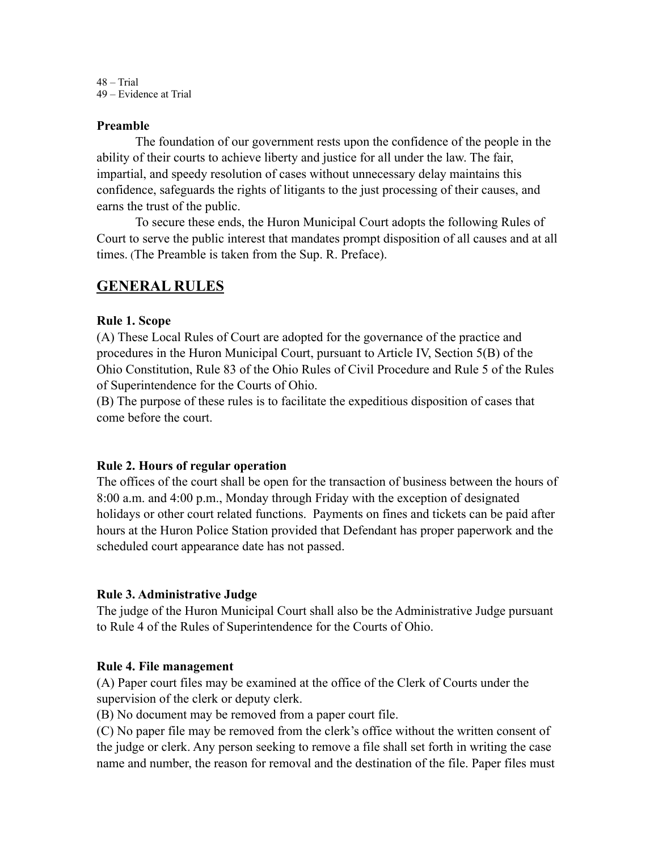48 – Trial 49 – Evidence at Trial

#### **Preamble**

The foundation of our government rests upon the confidence of the people in the ability of their courts to achieve liberty and justice for all under the law. The fair, impartial, and speedy resolution of cases without unnecessary delay maintains this confidence, safeguards the rights of litigants to the just processing of their causes, and earns the trust of the public.

To secure these ends, the Huron Municipal Court adopts the following Rules of Court to serve the public interest that mandates prompt disposition of all causes and at all times. (The Preamble is taken from the Sup. R. Preface).

## **GENERAL RULES**

#### **Rule 1. Scope**

(A) These Local Rules of Court are adopted for the governance of the practice and procedures in the Huron Municipal Court, pursuant to Article IV, Section 5(B) of the Ohio Constitution, Rule 83 of the Ohio Rules of Civil Procedure and Rule 5 of the Rules of Superintendence for the Courts of Ohio.

(B) The purpose of these rules is to facilitate the expeditious disposition of cases that come before the court.

#### **Rule 2. Hours of regular operation**

The offices of the court shall be open for the transaction of business between the hours of 8:00 a.m. and 4:00 p.m., Monday through Friday with the exception of designated holidays or other court related functions. Payments on fines and tickets can be paid after hours at the Huron Police Station provided that Defendant has proper paperwork and the scheduled court appearance date has not passed.

#### **Rule 3. Administrative Judge**

The judge of the Huron Municipal Court shall also be the Administrative Judge pursuant to Rule 4 of the Rules of Superintendence for the Courts of Ohio.

#### **Rule 4. File management**

(A) Paper court files may be examined at the office of the Clerk of Courts under the supervision of the clerk or deputy clerk.

(B) No document may be removed from a paper court file.

(C) No paper file may be removed from the clerk's office without the written consent of the judge or clerk. Any person seeking to remove a file shall set forth in writing the case name and number, the reason for removal and the destination of the file. Paper files must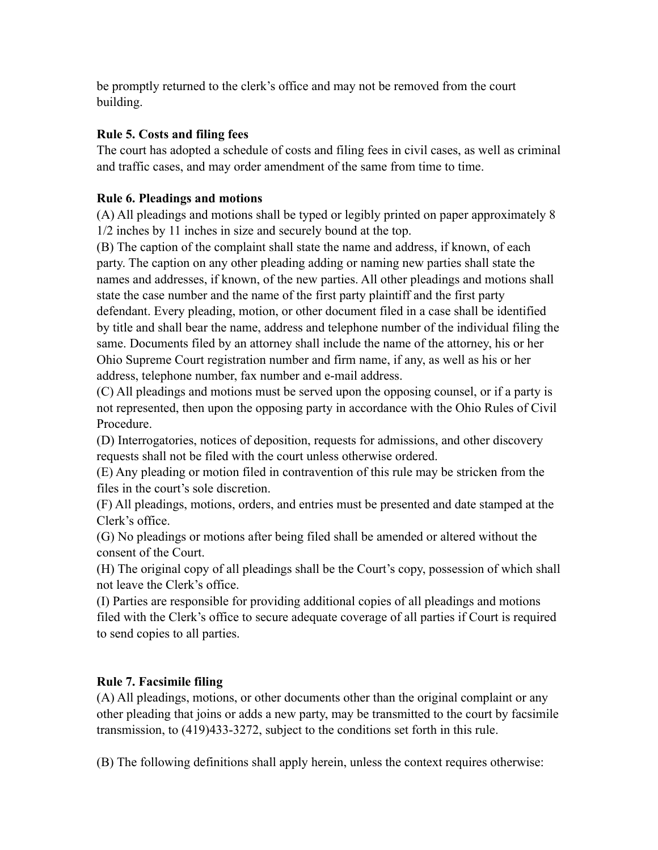be promptly returned to the clerk's office and may not be removed from the court building.

## **Rule 5. Costs and filing fees**

The court has adopted a schedule of costs and filing fees in civil cases, as well as criminal and traffic cases, and may order amendment of the same from time to time.

## **Rule 6. Pleadings and motions**

(A) All pleadings and motions shall be typed or legibly printed on paper approximately 8 1/2 inches by 11 inches in size and securely bound at the top.

(B) The caption of the complaint shall state the name and address, if known, of each party. The caption on any other pleading adding or naming new parties shall state the names and addresses, if known, of the new parties. All other pleadings and motions shall state the case number and the name of the first party plaintiff and the first party defendant. Every pleading, motion, or other document filed in a case shall be identified by title and shall bear the name, address and telephone number of the individual filing the same. Documents filed by an attorney shall include the name of the attorney, his or her Ohio Supreme Court registration number and firm name, if any, as well as his or her address, telephone number, fax number and e-mail address.

(C) All pleadings and motions must be served upon the opposing counsel, or if a party is not represented, then upon the opposing party in accordance with the Ohio Rules of Civil Procedure.

(D) Interrogatories, notices of deposition, requests for admissions, and other discovery requests shall not be filed with the court unless otherwise ordered.

(E) Any pleading or motion filed in contravention of this rule may be stricken from the files in the court's sole discretion.

(F) All pleadings, motions, orders, and entries must be presented and date stamped at the Clerk's office.

(G) No pleadings or motions after being filed shall be amended or altered without the consent of the Court.

(H) The original copy of all pleadings shall be the Court's copy, possession of which shall not leave the Clerk's office.

(I) Parties are responsible for providing additional copies of all pleadings and motions filed with the Clerk's office to secure adequate coverage of all parties if Court is required to send copies to all parties.

# **Rule 7. Facsimile filing**

(A) All pleadings, motions, or other documents other than the original complaint or any other pleading that joins or adds a new party, may be transmitted to the court by facsimile transmission, to (419)433-3272, subject to the conditions set forth in this rule.

(B) The following definitions shall apply herein, unless the context requires otherwise: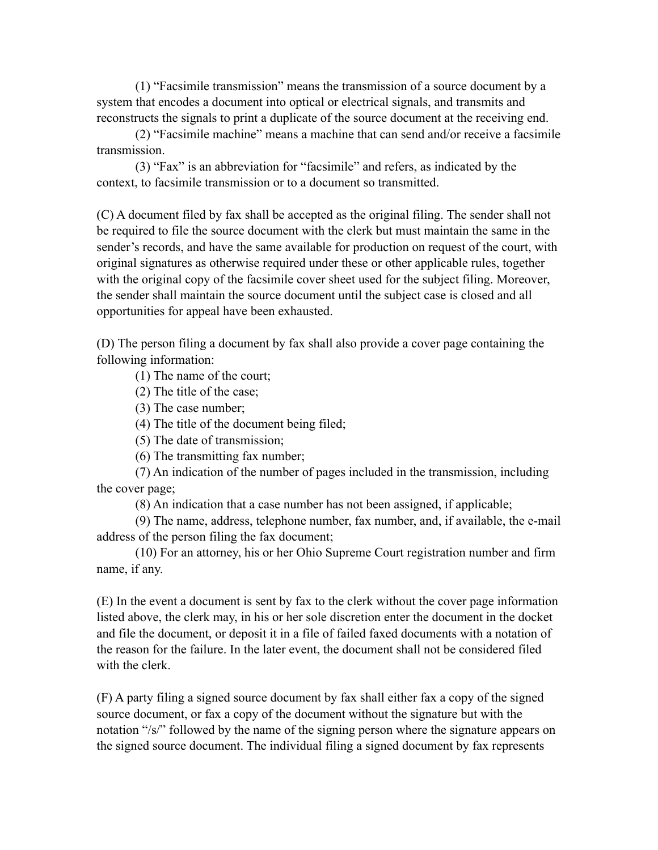(1) "Facsimile transmission" means the transmission of a source document by a system that encodes a document into optical or electrical signals, and transmits and reconstructs the signals to print a duplicate of the source document at the receiving end.

 (2) "Facsimile machine" means a machine that can send and/or receive a facsimile transmission.

 (3) "Fax" is an abbreviation for "facsimile" and refers, as indicated by the context, to facsimile transmission or to a document so transmitted.

(C) A document filed by fax shall be accepted as the original filing. The sender shall not be required to file the source document with the clerk but must maintain the same in the sender's records, and have the same available for production on request of the court, with original signatures as otherwise required under these or other applicable rules, together with the original copy of the facsimile cover sheet used for the subject filing. Moreover, the sender shall maintain the source document until the subject case is closed and all opportunities for appeal have been exhausted.

(D) The person filing a document by fax shall also provide a cover page containing the following information:

(1) The name of the court;

(2) The title of the case;

(3) The case number;

(4) The title of the document being filed;

(5) The date of transmission;

(6) The transmitting fax number;

 (7) An indication of the number of pages included in the transmission, including the cover page;

(8) An indication that a case number has not been assigned, if applicable;

 (9) The name, address, telephone number, fax number, and, if available, the e-mail address of the person filing the fax document;

 (10) For an attorney, his or her Ohio Supreme Court registration number and firm name, if any.

(E) In the event a document is sent by fax to the clerk without the cover page information listed above, the clerk may, in his or her sole discretion enter the document in the docket and file the document, or deposit it in a file of failed faxed documents with a notation of the reason for the failure. In the later event, the document shall not be considered filed with the clerk.

(F) A party filing a signed source document by fax shall either fax a copy of the signed source document, or fax a copy of the document without the signature but with the notation "/s/" followed by the name of the signing person where the signature appears on the signed source document. The individual filing a signed document by fax represents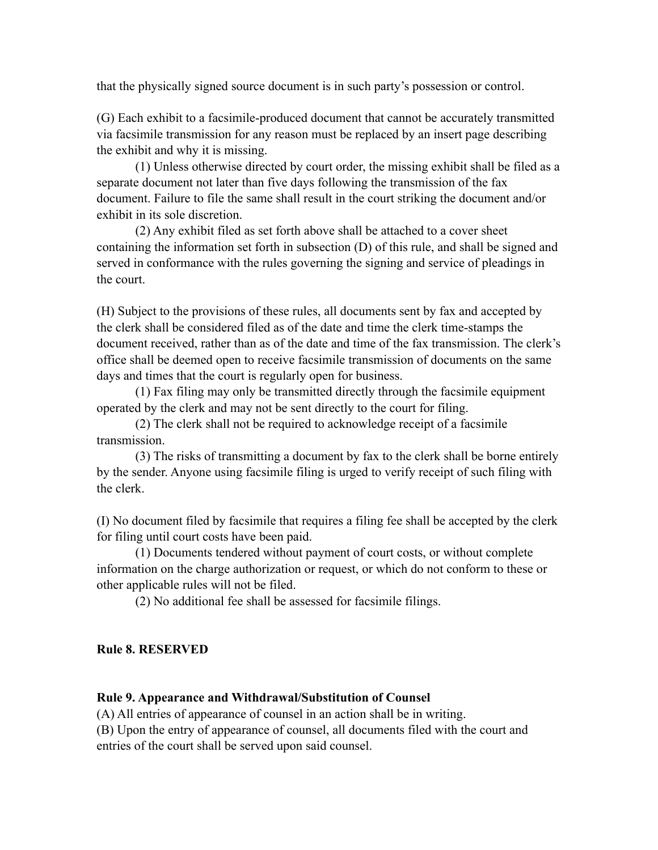that the physically signed source document is in such party's possession or control.

(G) Each exhibit to a facsimile-produced document that cannot be accurately transmitted via facsimile transmission for any reason must be replaced by an insert page describing the exhibit and why it is missing.

 (1) Unless otherwise directed by court order, the missing exhibit shall be filed as a separate document not later than five days following the transmission of the fax document. Failure to file the same shall result in the court striking the document and/or exhibit in its sole discretion.

 (2) Any exhibit filed as set forth above shall be attached to a cover sheet containing the information set forth in subsection (D) of this rule, and shall be signed and served in conformance with the rules governing the signing and service of pleadings in the court.

(H) Subject to the provisions of these rules, all documents sent by fax and accepted by the clerk shall be considered filed as of the date and time the clerk time-stamps the document received, rather than as of the date and time of the fax transmission. The clerk's office shall be deemed open to receive facsimile transmission of documents on the same days and times that the court is regularly open for business.

 (1) Fax filing may only be transmitted directly through the facsimile equipment operated by the clerk and may not be sent directly to the court for filing.

 (2) The clerk shall not be required to acknowledge receipt of a facsimile transmission.

 (3) The risks of transmitting a document by fax to the clerk shall be borne entirely by the sender. Anyone using facsimile filing is urged to verify receipt of such filing with the clerk.

(I) No document filed by facsimile that requires a filing fee shall be accepted by the clerk for filing until court costs have been paid.

 (1) Documents tendered without payment of court costs, or without complete information on the charge authorization or request, or which do not conform to these or other applicable rules will not be filed.

(2) No additional fee shall be assessed for facsimile filings.

#### **Rule 8. RESERVED**

#### **Rule 9. Appearance and Withdrawal/Substitution of Counsel**

(A) All entries of appearance of counsel in an action shall be in writing.

(B) Upon the entry of appearance of counsel, all documents filed with the court and entries of the court shall be served upon said counsel.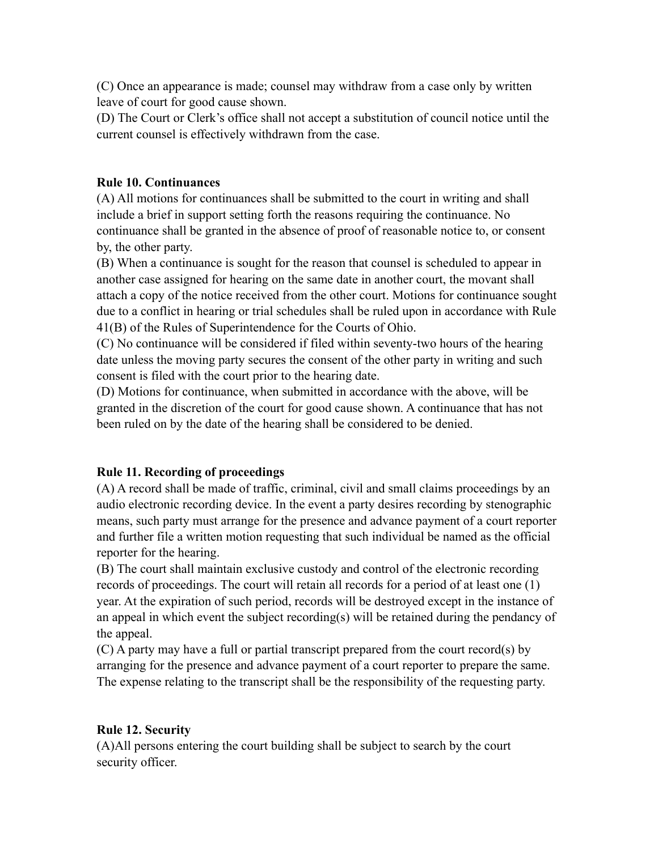(C) Once an appearance is made; counsel may withdraw from a case only by written leave of court for good cause shown.

(D) The Court or Clerk's office shall not accept a substitution of council notice until the current counsel is effectively withdrawn from the case.

### **Rule 10. Continuances**

(A) All motions for continuances shall be submitted to the court in writing and shall include a brief in support setting forth the reasons requiring the continuance. No continuance shall be granted in the absence of proof of reasonable notice to, or consent by, the other party.

(B) When a continuance is sought for the reason that counsel is scheduled to appear in another case assigned for hearing on the same date in another court, the movant shall attach a copy of the notice received from the other court. Motions for continuance sought due to a conflict in hearing or trial schedules shall be ruled upon in accordance with Rule 41(B) of the Rules of Superintendence for the Courts of Ohio.

(C) No continuance will be considered if filed within seventy-two hours of the hearing date unless the moving party secures the consent of the other party in writing and such consent is filed with the court prior to the hearing date.

(D) Motions for continuance, when submitted in accordance with the above, will be granted in the discretion of the court for good cause shown. A continuance that has not been ruled on by the date of the hearing shall be considered to be denied.

### **Rule 11. Recording of proceedings**

(A) A record shall be made of traffic, criminal, civil and small claims proceedings by an audio electronic recording device. In the event a party desires recording by stenographic means, such party must arrange for the presence and advance payment of a court reporter and further file a written motion requesting that such individual be named as the official reporter for the hearing.

(B) The court shall maintain exclusive custody and control of the electronic recording records of proceedings. The court will retain all records for a period of at least one (1) year. At the expiration of such period, records will be destroyed except in the instance of an appeal in which event the subject recording(s) will be retained during the pendancy of the appeal.

(C) A party may have a full or partial transcript prepared from the court record(s) by arranging for the presence and advance payment of a court reporter to prepare the same. The expense relating to the transcript shall be the responsibility of the requesting party.

#### **Rule 12. Security**

(A)All persons entering the court building shall be subject to search by the court security officer.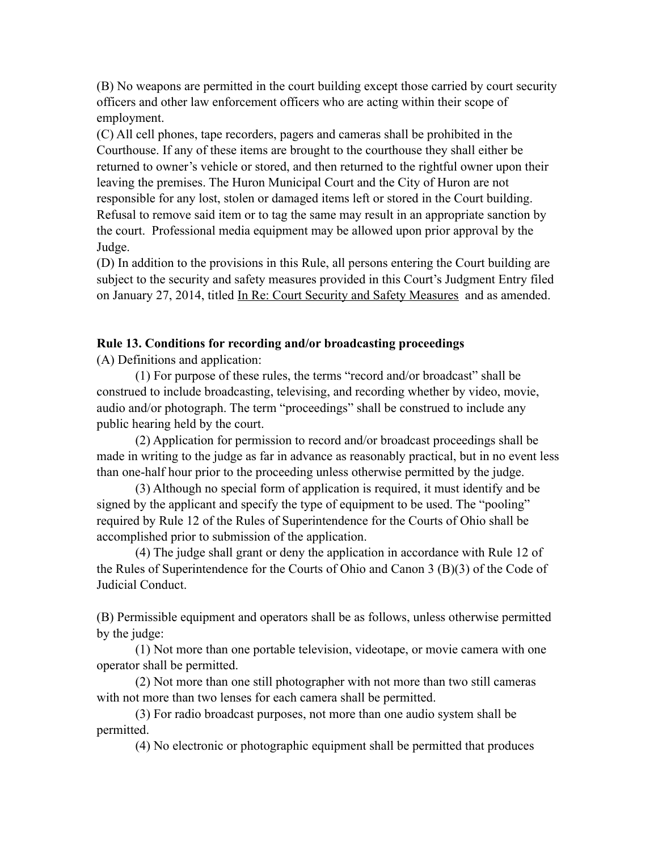(B) No weapons are permitted in the court building except those carried by court security officers and other law enforcement officers who are acting within their scope of employment.

(C) All cell phones, tape recorders, pagers and cameras shall be prohibited in the Courthouse. If any of these items are brought to the courthouse they shall either be returned to owner's vehicle or stored, and then returned to the rightful owner upon their leaving the premises. The Huron Municipal Court and the City of Huron are not responsible for any lost, stolen or damaged items left or stored in the Court building. Refusal to remove said item or to tag the same may result in an appropriate sanction by the court. Professional media equipment may be allowed upon prior approval by the Judge.

(D) In addition to the provisions in this Rule, all persons entering the Court building are subject to the security and safety measures provided in this Court's Judgment Entry filed on January 27, 2014, titled In Re: Court Security and Safety Measures and as amended.

#### **Rule 13. Conditions for recording and/or broadcasting proceedings**

(A) Definitions and application:

 (1) For purpose of these rules, the terms "record and/or broadcast" shall be construed to include broadcasting, televising, and recording whether by video, movie, audio and/or photograph. The term "proceedings" shall be construed to include any public hearing held by the court.

 (2) Application for permission to record and/or broadcast proceedings shall be made in writing to the judge as far in advance as reasonably practical, but in no event less than one-half hour prior to the proceeding unless otherwise permitted by the judge.

 (3) Although no special form of application is required, it must identify and be signed by the applicant and specify the type of equipment to be used. The "pooling" required by Rule 12 of the Rules of Superintendence for the Courts of Ohio shall be accomplished prior to submission of the application.

 (4) The judge shall grant or deny the application in accordance with Rule 12 of the Rules of Superintendence for the Courts of Ohio and Canon 3 (B)(3) of the Code of Judicial Conduct.

(B) Permissible equipment and operators shall be as follows, unless otherwise permitted by the judge:

 (1) Not more than one portable television, videotape, or movie camera with one operator shall be permitted.

 (2) Not more than one still photographer with not more than two still cameras with not more than two lenses for each camera shall be permitted.

 (3) For radio broadcast purposes, not more than one audio system shall be permitted.

(4) No electronic or photographic equipment shall be permitted that produces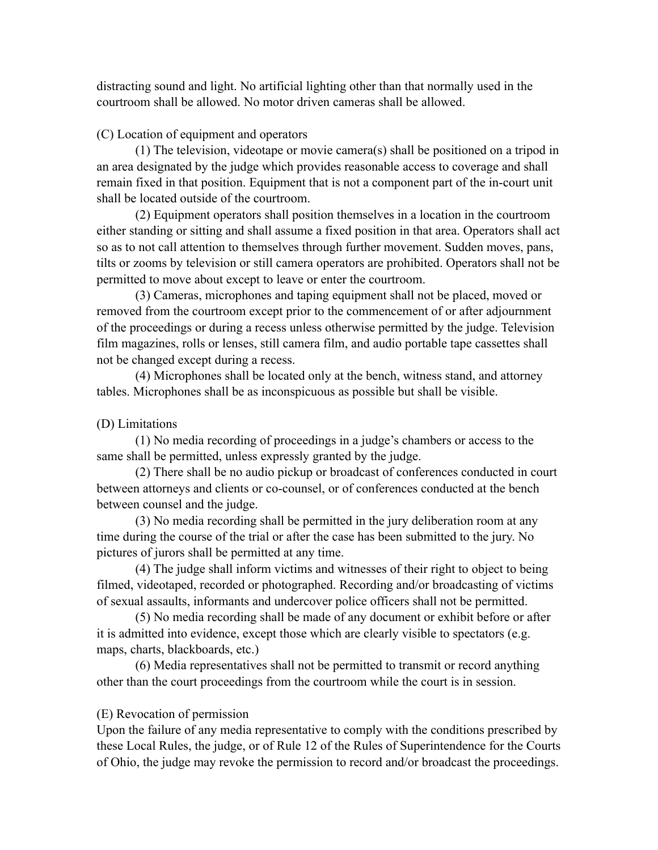distracting sound and light. No artificial lighting other than that normally used in the courtroom shall be allowed. No motor driven cameras shall be allowed.

#### (C) Location of equipment and operators

 (1) The television, videotape or movie camera(s) shall be positioned on a tripod in an area designated by the judge which provides reasonable access to coverage and shall remain fixed in that position. Equipment that is not a component part of the in-court unit shall be located outside of the courtroom.

 (2) Equipment operators shall position themselves in a location in the courtroom either standing or sitting and shall assume a fixed position in that area. Operators shall act so as to not call attention to themselves through further movement. Sudden moves, pans, tilts or zooms by television or still camera operators are prohibited. Operators shall not be permitted to move about except to leave or enter the courtroom.

 (3) Cameras, microphones and taping equipment shall not be placed, moved or removed from the courtroom except prior to the commencement of or after adjournment of the proceedings or during a recess unless otherwise permitted by the judge. Television film magazines, rolls or lenses, still camera film, and audio portable tape cassettes shall not be changed except during a recess.

 (4) Microphones shall be located only at the bench, witness stand, and attorney tables. Microphones shall be as inconspicuous as possible but shall be visible.

### (D) Limitations

 (1) No media recording of proceedings in a judge's chambers or access to the same shall be permitted, unless expressly granted by the judge.

 (2) There shall be no audio pickup or broadcast of conferences conducted in court between attorneys and clients or co-counsel, or of conferences conducted at the bench between counsel and the judge.

 (3) No media recording shall be permitted in the jury deliberation room at any time during the course of the trial or after the case has been submitted to the jury. No pictures of jurors shall be permitted at any time.

 (4) The judge shall inform victims and witnesses of their right to object to being filmed, videotaped, recorded or photographed. Recording and/or broadcasting of victims of sexual assaults, informants and undercover police officers shall not be permitted.

 (5) No media recording shall be made of any document or exhibit before or after it is admitted into evidence, except those which are clearly visible to spectators (e.g. maps, charts, blackboards, etc.)

 (6) Media representatives shall not be permitted to transmit or record anything other than the court proceedings from the courtroom while the court is in session.

### (E) Revocation of permission

Upon the failure of any media representative to comply with the conditions prescribed by these Local Rules, the judge, or of Rule 12 of the Rules of Superintendence for the Courts of Ohio, the judge may revoke the permission to record and/or broadcast the proceedings.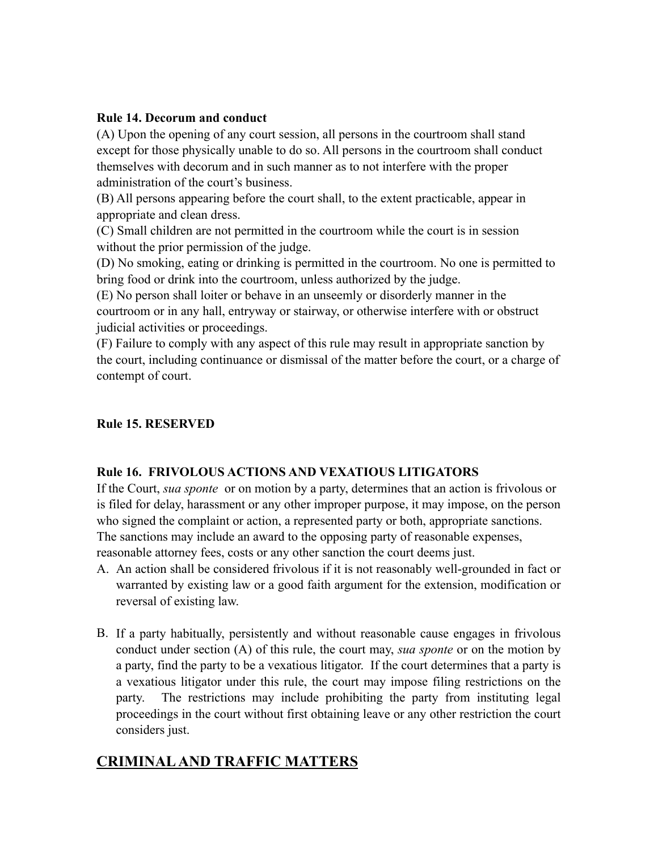### **Rule 14. Decorum and conduct**

(A) Upon the opening of any court session, all persons in the courtroom shall stand except for those physically unable to do so. All persons in the courtroom shall conduct themselves with decorum and in such manner as to not interfere with the proper administration of the court's business.

(B) All persons appearing before the court shall, to the extent practicable, appear in appropriate and clean dress.

(C) Small children are not permitted in the courtroom while the court is in session without the prior permission of the judge.

(D) No smoking, eating or drinking is permitted in the courtroom. No one is permitted to bring food or drink into the courtroom, unless authorized by the judge.

(E) No person shall loiter or behave in an unseemly or disorderly manner in the courtroom or in any hall, entryway or stairway, or otherwise interfere with or obstruct judicial activities or proceedings.

(F) Failure to comply with any aspect of this rule may result in appropriate sanction by the court, including continuance or dismissal of the matter before the court, or a charge of contempt of court.

### **Rule 15. RESERVED**

### **Rule 16. FRIVOLOUS ACTIONS AND VEXATIOUS LITIGATORS**

If the Court, *sua sponte* or on motion by a party, determines that an action is frivolous or is filed for delay, harassment or any other improper purpose, it may impose, on the person who signed the complaint or action, a represented party or both, appropriate sanctions. The sanctions may include an award to the opposing party of reasonable expenses, reasonable attorney fees, costs or any other sanction the court deems just.

- A. An action shall be considered frivolous if it is not reasonably well-grounded in fact or warranted by existing law or a good faith argument for the extension, modification or reversal of existing law.
- B. If a party habitually, persistently and without reasonable cause engages in frivolous conduct under section (A) of this rule, the court may, *sua sponte* or on the motion by a party, find the party to be a vexatious litigator. If the court determines that a party is a vexatious litigator under this rule, the court may impose filing restrictions on the party. The restrictions may include prohibiting the party from instituting legal proceedings in the court without first obtaining leave or any other restriction the court considers just.

# **CRIMINAL AND TRAFFIC MATTERS**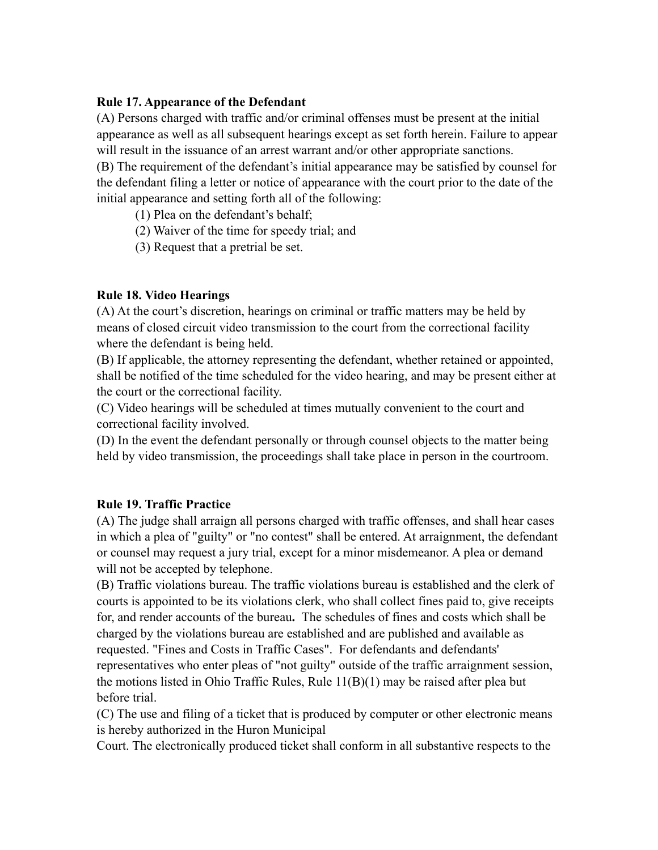### **Rule 17. Appearance of the Defendant**

(A) Persons charged with traffic and/or criminal offenses must be present at the initial appearance as well as all subsequent hearings except as set forth herein. Failure to appear will result in the issuance of an arrest warrant and/or other appropriate sanctions. (B) The requirement of the defendant's initial appearance may be satisfied by counsel for the defendant filing a letter or notice of appearance with the court prior to the date of the initial appearance and setting forth all of the following:

(1) Plea on the defendant's behalf;

(2) Waiver of the time for speedy trial; and

(3) Request that a pretrial be set.

### **Rule 18. Video Hearings**

(A) At the court's discretion, hearings on criminal or traffic matters may be held by means of closed circuit video transmission to the court from the correctional facility where the defendant is being held.

(B) If applicable, the attorney representing the defendant, whether retained or appointed, shall be notified of the time scheduled for the video hearing, and may be present either at the court or the correctional facility.

(C) Video hearings will be scheduled at times mutually convenient to the court and correctional facility involved.

(D) In the event the defendant personally or through counsel objects to the matter being held by video transmission, the proceedings shall take place in person in the courtroom.

#### **Rule 19. Traffic Practice**

(A) The judge shall arraign all persons charged with traffic offenses, and shall hear cases in which a plea of "guilty" or "no contest" shall be entered. At arraignment, the defendant or counsel may request a jury trial, except for a minor misdemeanor. A plea or demand will not be accepted by telephone.

(B) Traffic violations bureau. The traffic violations bureau is established and the clerk of courts is appointed to be its violations clerk, who shall collect fines paid to, give receipts for, and render accounts of the bureau**.** The schedules of fines and costs which shall be charged by the violations bureau are established and are published and available as requested. "Fines and Costs in Traffic Cases".For defendants and defendants' representatives who enter pleas of "not guilty" outside of the traffic arraignment session, the motions listed in Ohio Traffic Rules, Rule 11(B)(1) may be raised after plea but before trial.

(C) The use and filing of a ticket that is produced by computer or other electronic means is hereby authorized in the Huron Municipal

Court. The electronically produced ticket shall conform in all substantive respects to the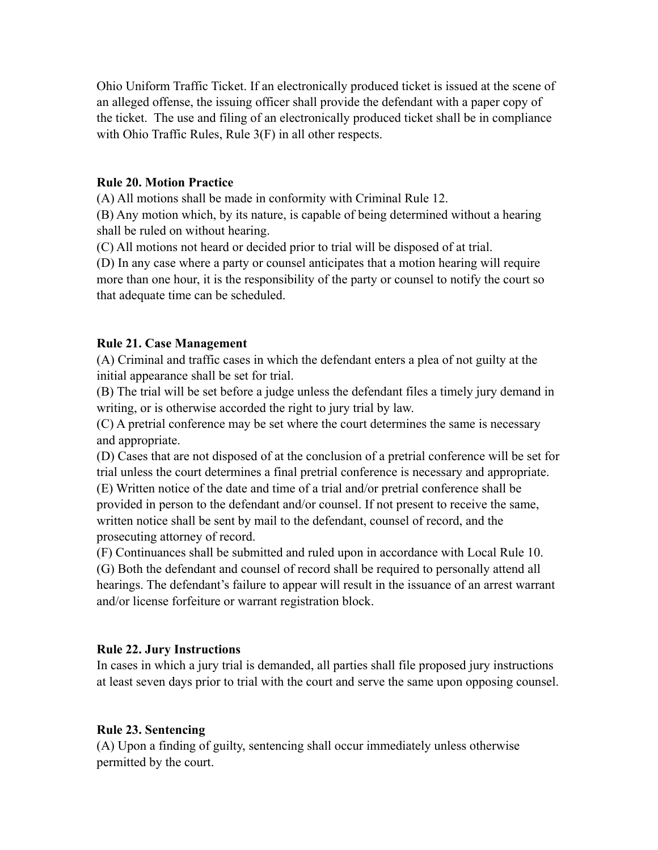Ohio Uniform Traffic Ticket. If an electronically produced ticket is issued at the scene of an alleged offense, the issuing officer shall provide the defendant with a paper copy of the ticket. The use and filing of an electronically produced ticket shall be in compliance with Ohio Traffic Rules, Rule 3(F) in all other respects.

#### **Rule 20. Motion Practice**

(A) All motions shall be made in conformity with Criminal Rule 12.

(B) Any motion which, by its nature, is capable of being determined without a hearing shall be ruled on without hearing.

(C) All motions not heard or decided prior to trial will be disposed of at trial.

(D) In any case where a party or counsel anticipates that a motion hearing will require more than one hour, it is the responsibility of the party or counsel to notify the court so that adequate time can be scheduled.

### **Rule 21. Case Management**

(A) Criminal and traffic cases in which the defendant enters a plea of not guilty at the initial appearance shall be set for trial.

(B) The trial will be set before a judge unless the defendant files a timely jury demand in writing, or is otherwise accorded the right to jury trial by law.

(C) A pretrial conference may be set where the court determines the same is necessary and appropriate.

(D) Cases that are not disposed of at the conclusion of a pretrial conference will be set for trial unless the court determines a final pretrial conference is necessary and appropriate.

(E) Written notice of the date and time of a trial and/or pretrial conference shall be provided in person to the defendant and/or counsel. If not present to receive the same, written notice shall be sent by mail to the defendant, counsel of record, and the prosecuting attorney of record.

(F) Continuances shall be submitted and ruled upon in accordance with Local Rule 10. (G) Both the defendant and counsel of record shall be required to personally attend all hearings. The defendant's failure to appear will result in the issuance of an arrest warrant and/or license forfeiture or warrant registration block.

### **Rule 22. Jury Instructions**

In cases in which a jury trial is demanded, all parties shall file proposed jury instructions at least seven days prior to trial with the court and serve the same upon opposing counsel.

#### **Rule 23. Sentencing**

(A) Upon a finding of guilty, sentencing shall occur immediately unless otherwise permitted by the court.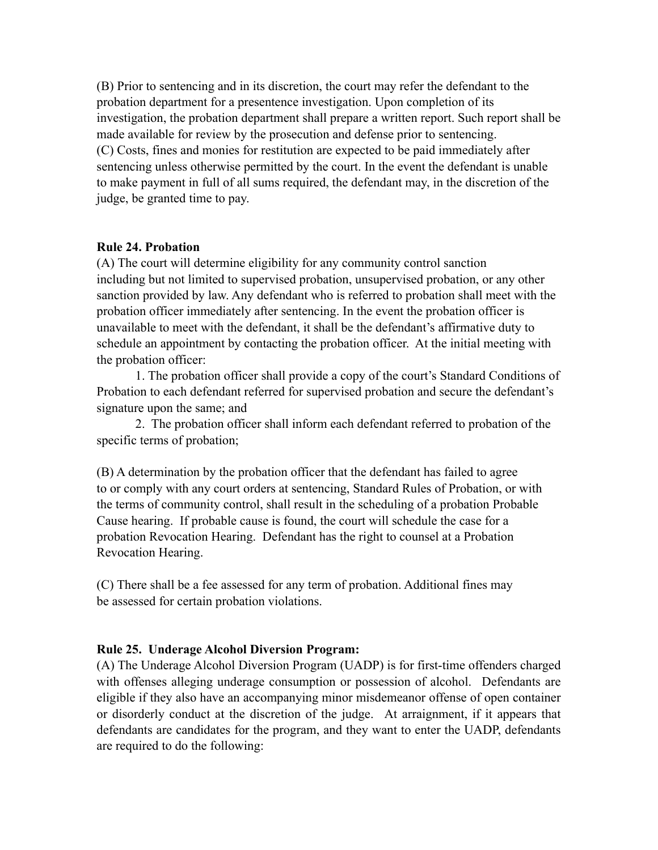(B) Prior to sentencing and in its discretion, the court may refer the defendant to the probation department for a presentence investigation. Upon completion of its investigation, the probation department shall prepare a written report. Such report shall be made available for review by the prosecution and defense prior to sentencing. (C) Costs, fines and monies for restitution are expected to be paid immediately after sentencing unless otherwise permitted by the court. In the event the defendant is unable to make payment in full of all sums required, the defendant may, in the discretion of the judge, be granted time to pay.

### **Rule 24. Probation**

(A) The court will determine eligibility for any community control sanction including but not limited to supervised probation, unsupervised probation, or any other sanction provided by law. Any defendant who is referred to probation shall meet with the probation officer immediately after sentencing. In the event the probation officer is unavailable to meet with the defendant, it shall be the defendant's affirmative duty to schedule an appointment by contacting the probation officer. At the initial meeting with the probation officer:

1. The probation officer shall provide a copy of the court's Standard Conditions of Probation to each defendant referred for supervised probation and secure the defendant's signature upon the same; and

2. The probation officer shall inform each defendant referred to probation of the specific terms of probation;

(B) A determination by the probation officer that the defendant has failed to agree to or comply with any court orders at sentencing, Standard Rules of Probation, or with the terms of community control, shall result in the scheduling of a probation Probable Cause hearing. If probable cause is found, the court will schedule the case for a probation Revocation Hearing. Defendant has the right to counsel at a Probation Revocation Hearing.

(C) There shall be a fee assessed for any term of probation. Additional fines may be assessed for certain probation violations.

### **Rule 25. Underage Alcohol Diversion Program:**

(A) The Underage Alcohol Diversion Program (UADP) is for first-time offenders charged with offenses alleging underage consumption or possession of alcohol. Defendants are eligible if they also have an accompanying minor misdemeanor offense of open container or disorderly conduct at the discretion of the judge. At arraignment, if it appears that defendants are candidates for the program, and they want to enter the UADP, defendants are required to do the following: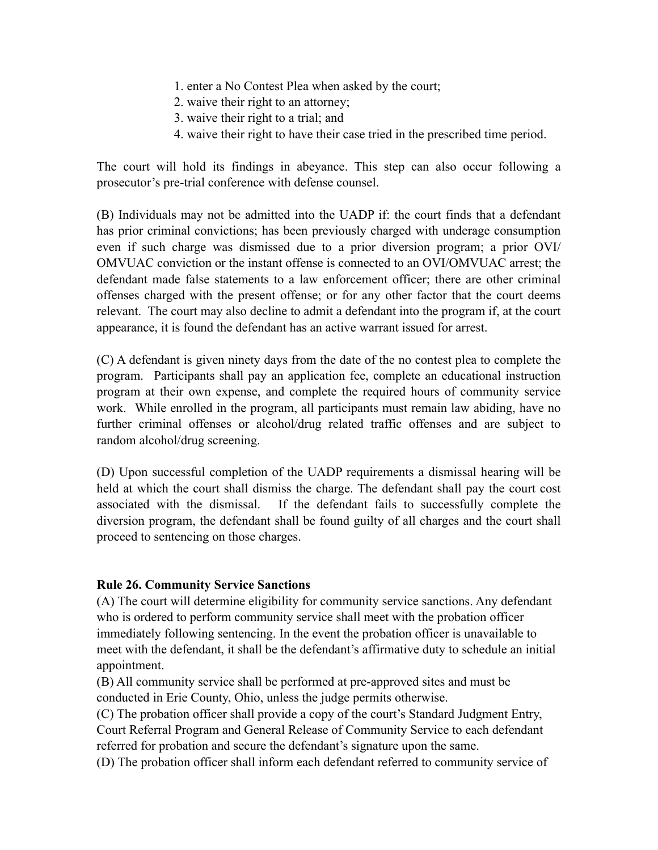- 1. enter a No Contest Plea when asked by the court;
- 2. waive their right to an attorney;
- 3. waive their right to a trial; and
- 4. waive their right to have their case tried in the prescribed time period.

The court will hold its findings in abeyance. This step can also occur following a prosecutor's pre-trial conference with defense counsel.

(B) Individuals may not be admitted into the UADP if: the court finds that a defendant has prior criminal convictions; has been previously charged with underage consumption even if such charge was dismissed due to a prior diversion program; a prior OVI/ OMVUAC conviction or the instant offense is connected to an OVI/OMVUAC arrest; the defendant made false statements to a law enforcement officer; there are other criminal offenses charged with the present offense; or for any other factor that the court deems relevant. The court may also decline to admit a defendant into the program if, at the court appearance, it is found the defendant has an active warrant issued for arrest.

(C) A defendant is given ninety days from the date of the no contest plea to complete the program. Participants shall pay an application fee, complete an educational instruction program at their own expense, and complete the required hours of community service work. While enrolled in the program, all participants must remain law abiding, have no further criminal offenses or alcohol/drug related traffic offenses and are subject to random alcohol/drug screening.

(D) Upon successful completion of the UADP requirements a dismissal hearing will be held at which the court shall dismiss the charge. The defendant shall pay the court cost associated with the dismissal. If the defendant fails to successfully complete the diversion program, the defendant shall be found guilty of all charges and the court shall proceed to sentencing on those charges.

### **Rule 26. Community Service Sanctions**

(A) The court will determine eligibility for community service sanctions. Any defendant who is ordered to perform community service shall meet with the probation officer immediately following sentencing. In the event the probation officer is unavailable to meet with the defendant, it shall be the defendant's affirmative duty to schedule an initial appointment.

(B) All community service shall be performed at pre-approved sites and must be conducted in Erie County, Ohio, unless the judge permits otherwise.

(C) The probation officer shall provide a copy of the court's Standard Judgment Entry, Court Referral Program and General Release of Community Service to each defendant referred for probation and secure the defendant's signature upon the same.

(D) The probation officer shall inform each defendant referred to community service of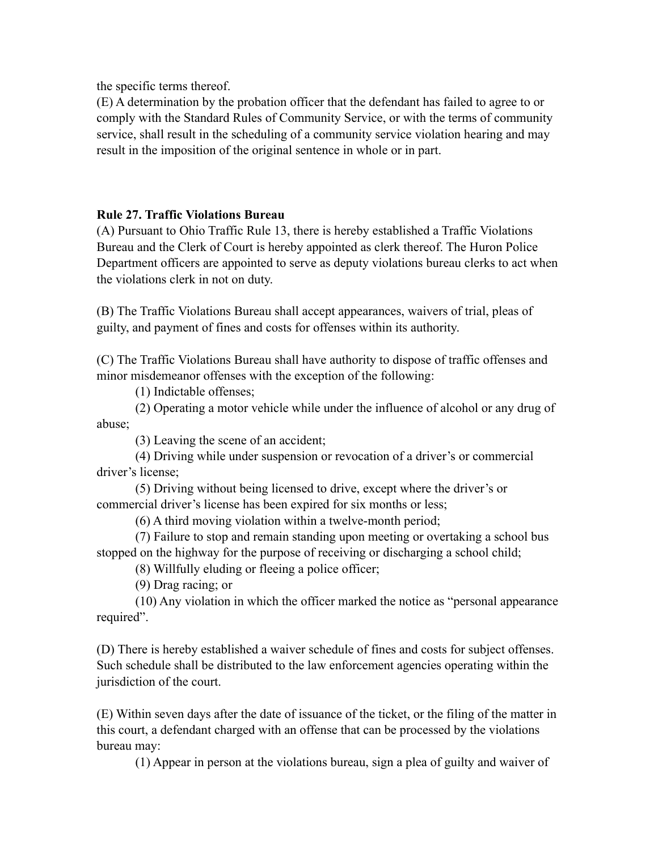the specific terms thereof.

(E) A determination by the probation officer that the defendant has failed to agree to or comply with the Standard Rules of Community Service, or with the terms of community service, shall result in the scheduling of a community service violation hearing and may result in the imposition of the original sentence in whole or in part.

### **Rule 27. Traffic Violations Bureau**

(A) Pursuant to Ohio Traffic Rule 13, there is hereby established a Traffic Violations Bureau and the Clerk of Court is hereby appointed as clerk thereof. The Huron Police Department officers are appointed to serve as deputy violations bureau clerks to act when the violations clerk in not on duty.

(B) The Traffic Violations Bureau shall accept appearances, waivers of trial, pleas of guilty, and payment of fines and costs for offenses within its authority.

(C) The Traffic Violations Bureau shall have authority to dispose of traffic offenses and minor misdemeanor offenses with the exception of the following:

(1) Indictable offenses;

 (2) Operating a motor vehicle while under the influence of alcohol or any drug of abuse;

(3) Leaving the scene of an accident;

 (4) Driving while under suspension or revocation of a driver's or commercial driver's license;

 (5) Driving without being licensed to drive, except where the driver's or commercial driver's license has been expired for six months or less;

(6) A third moving violation within a twelve-month period;

 (7) Failure to stop and remain standing upon meeting or overtaking a school bus stopped on the highway for the purpose of receiving or discharging a school child;

(8) Willfully eluding or fleeing a police officer;

(9) Drag racing; or

 (10) Any violation in which the officer marked the notice as "personal appearance required".

(D) There is hereby established a waiver schedule of fines and costs for subject offenses. Such schedule shall be distributed to the law enforcement agencies operating within the jurisdiction of the court.

(E) Within seven days after the date of issuance of the ticket, or the filing of the matter in this court, a defendant charged with an offense that can be processed by the violations bureau may:

(1) Appear in person at the violations bureau, sign a plea of guilty and waiver of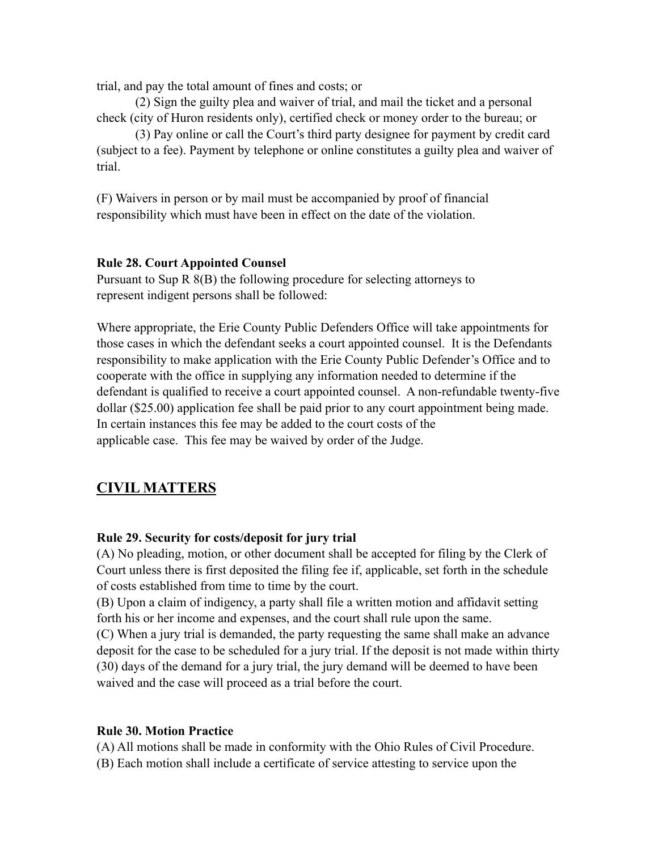trial, and pay the total amount of fines and costs; or

 (2) Sign the guilty plea and waiver of trial, and mail the ticket and a personal check (city of Huron residents only), certified check or money order to the bureau; or

(3) Pay online or call the Court's third party designee for payment by credit card (subject to a fee). Payment by telephone or online constitutes a guilty plea and waiver of trial.

(F) Waivers in person or by mail must be accompanied by proof of financial responsibility which must have been in effect on the date of the violation.

### **Rule 28. Court Appointed Counsel**

Pursuant to Sup R 8(B) the following procedure for selecting attorneys to represent indigent persons shall be followed:

Where appropriate, the Erie County Public Defenders Office will take appointments for those cases in which the defendant seeks a court appointed counsel. It is the Defendants responsibility to make application with the Erie County Public Defender's Office and to cooperate with the office in supplying any information needed to determine if the defendant is qualified to receive a court appointed counsel. A non-refundable twenty-five dollar (\$25.00) application fee shall be paid prior to any court appointment being made. In certain instances this fee may be added to the court costs of the applicable case. This fee may be waived by order of the Judge.

# **CIVIL MATTERS**

#### **Rule 29. Security for costs/deposit for jury trial**

(A) No pleading, motion, or other document shall be accepted for filing by the Clerk of Court unless there is first deposited the filing fee if, applicable, set forth in the schedule of costs established from time to time by the court.

(B) Upon a claim of indigency, a party shall file a written motion and affidavit setting forth his or her income and expenses, and the court shall rule upon the same.

(C) When a jury trial is demanded, the party requesting the same shall make an advance deposit for the case to be scheduled for a jury trial. If the deposit is not made within thirty (30) days of the demand for a jury trial, the jury demand will be deemed to have been waived and the case will proceed as a trial before the court.

#### **Rule 30. Motion Practice**

(A) All motions shall be made in conformity with the Ohio Rules of Civil Procedure. (B) Each motion shall include a certificate of service attesting to service upon the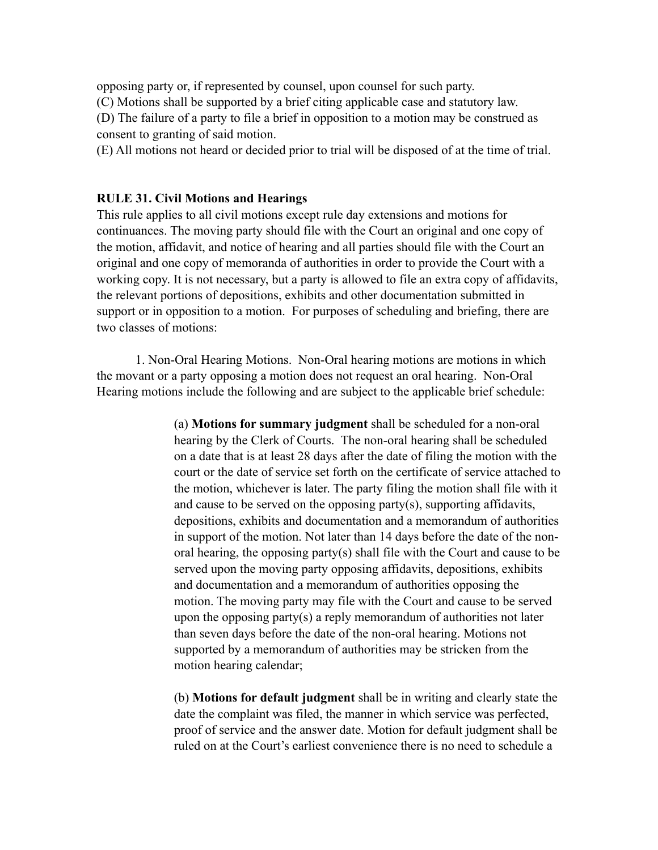opposing party or, if represented by counsel, upon counsel for such party. (C) Motions shall be supported by a brief citing applicable case and statutory law. (D) The failure of a party to file a brief in opposition to a motion may be construed as consent to granting of said motion.

(E) All motions not heard or decided prior to trial will be disposed of at the time of trial.

#### **RULE 31. Civil Motions and Hearings**

This rule applies to all civil motions except rule day extensions and motions for continuances. The moving party should file with the Court an original and one copy of the motion, affidavit, and notice of hearing and all parties should file with the Court an original and one copy of memoranda of authorities in order to provide the Court with a working copy. It is not necessary, but a party is allowed to file an extra copy of affidavits, the relevant portions of depositions, exhibits and other documentation submitted in support or in opposition to a motion. For purposes of scheduling and briefing, there are two classes of motions:

1. Non-Oral Hearing Motions.Non-Oral hearing motions are motions in which the movant or a party opposing a motion does not request an oral hearing. Non-Oral Hearing motions include the following and are subject to the applicable brief schedule:

> (a) **Motions for summary judgment** shall be scheduled for a non-oral hearing by the Clerk of Courts. The non-oral hearing shall be scheduled on a date that is at least 28 days after the date of filing the motion with the court or the date of service set forth on the certificate of service attached to the motion, whichever is later. The party filing the motion shall file with it and cause to be served on the opposing party(s), supporting affidavits, depositions, exhibits and documentation and a memorandum of authorities in support of the motion. Not later than 14 days before the date of the nonoral hearing, the opposing party(s) shall file with the Court and cause to be served upon the moving party opposing affidavits, depositions, exhibits and documentation and a memorandum of authorities opposing the motion. The moving party may file with the Court and cause to be served upon the opposing party(s) a reply memorandum of authorities not later than seven days before the date of the non-oral hearing. Motions not supported by a memorandum of authorities may be stricken from the motion hearing calendar;

> (b) **Motions for default judgment** shall be in writing and clearly state the date the complaint was filed, the manner in which service was perfected, proof of service and the answer date. Motion for default judgment shall be ruled on at the Court's earliest convenience there is no need to schedule a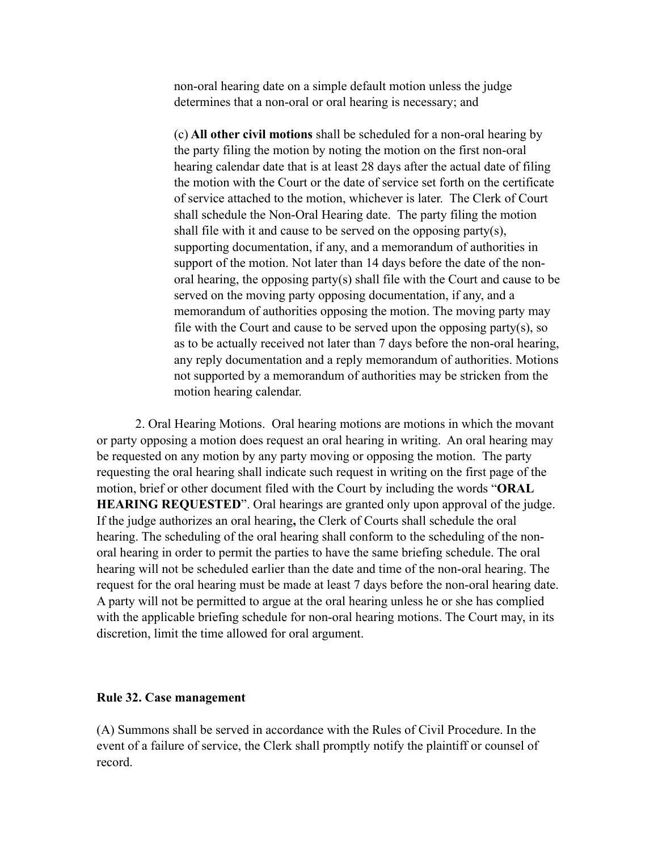non-oral hearing date on a simple default motion unless the judge determines that a non-oral or oral hearing is necessary; and

(c) **All other civil motions** shall be scheduled for a non-oral hearing by the party filing the motion by noting the motion on the first non-oral hearing calendar date that is at least 28 days after the actual date of filing the motion with the Court or the date of service set forth on the certificate of service attached to the motion, whichever is later. The Clerk of Court shall schedule the Non-Oral Hearing date. The party filing the motion shall file with it and cause to be served on the opposing party(s), supporting documentation, if any, and a memorandum of authorities in support of the motion. Not later than 14 days before the date of the nonoral hearing, the opposing party(s) shall file with the Court and cause to be served on the moving party opposing documentation, if any, and a memorandum of authorities opposing the motion. The moving party may file with the Court and cause to be served upon the opposing party(s), so as to be actually received not later than 7 days before the non-oral hearing, any reply documentation and a reply memorandum of authorities. Motions not supported by a memorandum of authorities may be stricken from the motion hearing calendar.

2. Oral Hearing Motions.Oral hearing motions are motions in which the movant or party opposing a motion does request an oral hearing in writing. An oral hearing may be requested on any motion by any party moving or opposing the motion. The party requesting the oral hearing shall indicate such request in writing on the first page of the motion, brief or other document filed with the Court by including the words "**ORAL HEARING REQUESTED**". Oral hearings are granted only upon approval of the judge. If the judge authorizes an oral hearing**,** the Clerk of Courts shall schedule the oral hearing. The scheduling of the oral hearing shall conform to the scheduling of the nonoral hearing in order to permit the parties to have the same briefing schedule. The oral hearing will not be scheduled earlier than the date and time of the non-oral hearing. The request for the oral hearing must be made at least 7 days before the non-oral hearing date. A party will not be permitted to argue at the oral hearing unless he or she has complied with the applicable briefing schedule for non-oral hearing motions. The Court may, in its discretion, limit the time allowed for oral argument.

#### **Rule 32. Case management**

(A) Summons shall be served in accordance with the Rules of Civil Procedure. In the event of a failure of service, the Clerk shall promptly notify the plaintiff or counsel of record.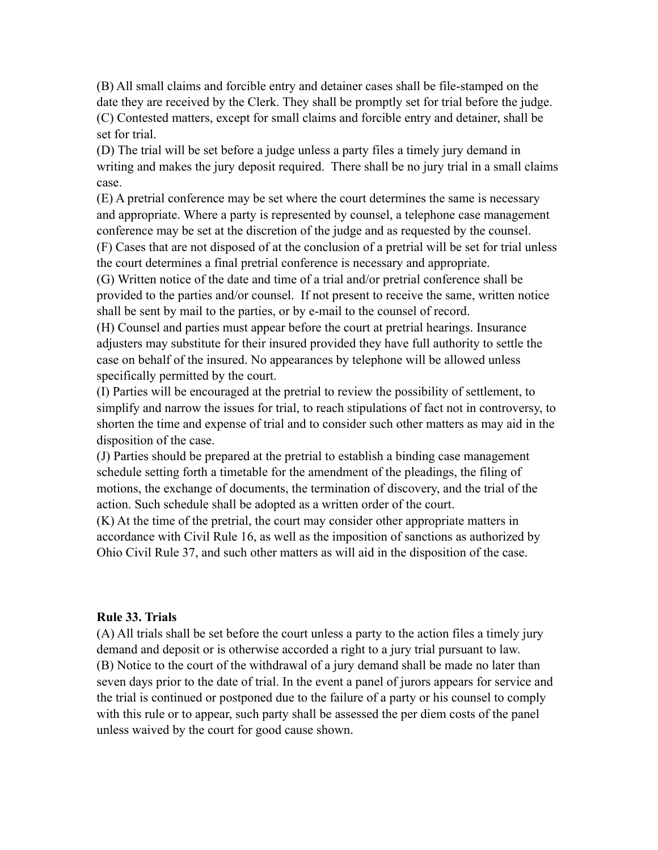(B) All small claims and forcible entry and detainer cases shall be file-stamped on the date they are received by the Clerk. They shall be promptly set for trial before the judge. (C) Contested matters, except for small claims and forcible entry and detainer, shall be set for trial.

(D) The trial will be set before a judge unless a party files a timely jury demand in writing and makes the jury deposit required. There shall be no jury trial in a small claims case.

(E) A pretrial conference may be set where the court determines the same is necessary and appropriate. Where a party is represented by counsel, a telephone case management conference may be set at the discretion of the judge and as requested by the counsel.

(F) Cases that are not disposed of at the conclusion of a pretrial will be set for trial unless the court determines a final pretrial conference is necessary and appropriate.

(G) Written notice of the date and time of a trial and/or pretrial conference shall be provided to the parties and/or counsel. If not present to receive the same, written notice shall be sent by mail to the parties, or by e-mail to the counsel of record.

(H) Counsel and parties must appear before the court at pretrial hearings. Insurance adjusters may substitute for their insured provided they have full authority to settle the case on behalf of the insured. No appearances by telephone will be allowed unless specifically permitted by the court.

(I) Parties will be encouraged at the pretrial to review the possibility of settlement, to simplify and narrow the issues for trial, to reach stipulations of fact not in controversy, to shorten the time and expense of trial and to consider such other matters as may aid in the disposition of the case.

(J) Parties should be prepared at the pretrial to establish a binding case management schedule setting forth a timetable for the amendment of the pleadings, the filing of motions, the exchange of documents, the termination of discovery, and the trial of the action. Such schedule shall be adopted as a written order of the court.

(K) At the time of the pretrial, the court may consider other appropriate matters in accordance with Civil Rule 16, as well as the imposition of sanctions as authorized by Ohio Civil Rule 37, and such other matters as will aid in the disposition of the case.

#### **Rule 33. Trials**

(A) All trials shall be set before the court unless a party to the action files a timely jury demand and deposit or is otherwise accorded a right to a jury trial pursuant to law. (B) Notice to the court of the withdrawal of a jury demand shall be made no later than seven days prior to the date of trial. In the event a panel of jurors appears for service and the trial is continued or postponed due to the failure of a party or his counsel to comply with this rule or to appear, such party shall be assessed the per diem costs of the panel unless waived by the court for good cause shown.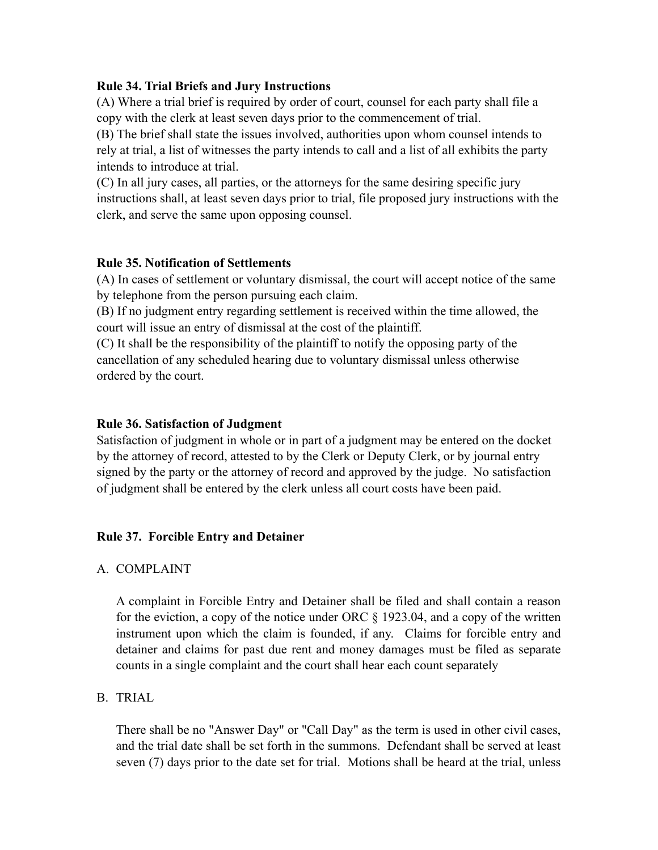### **Rule 34. Trial Briefs and Jury Instructions**

(A) Where a trial brief is required by order of court, counsel for each party shall file a copy with the clerk at least seven days prior to the commencement of trial.

(B) The brief shall state the issues involved, authorities upon whom counsel intends to rely at trial, a list of witnesses the party intends to call and a list of all exhibits the party intends to introduce at trial.

(C) In all jury cases, all parties, or the attorneys for the same desiring specific jury instructions shall, at least seven days prior to trial, file proposed jury instructions with the clerk, and serve the same upon opposing counsel.

### **Rule 35. Notification of Settlements**

(A) In cases of settlement or voluntary dismissal, the court will accept notice of the same by telephone from the person pursuing each claim.

(B) If no judgment entry regarding settlement is received within the time allowed, the court will issue an entry of dismissal at the cost of the plaintiff.

(C) It shall be the responsibility of the plaintiff to notify the opposing party of the cancellation of any scheduled hearing due to voluntary dismissal unless otherwise ordered by the court.

#### **Rule 36. Satisfaction of Judgment**

Satisfaction of judgment in whole or in part of a judgment may be entered on the docket by the attorney of record, attested to by the Clerk or Deputy Clerk, or by journal entry signed by the party or the attorney of record and approved by the judge. No satisfaction of judgment shall be entered by the clerk unless all court costs have been paid.

#### **Rule 37. Forcible Entry and Detainer**

#### A. COMPLAINT

A complaint in Forcible Entry and Detainer shall be filed and shall contain a reason for the eviction, a copy of the notice under ORC § 1923.04, and a copy of the written instrument upon which the claim is founded, if any. Claims for forcible entry and detainer and claims for past due rent and money damages must be filed as separate counts in a single complaint and the court shall hear each count separately

### B. TRIAL

There shall be no "Answer Day" or "Call Day" as the term is used in other civil cases, and the trial date shall be set forth in the summons. Defendant shall be served at least seven (7) days prior to the date set for trial. Motions shall be heard at the trial, unless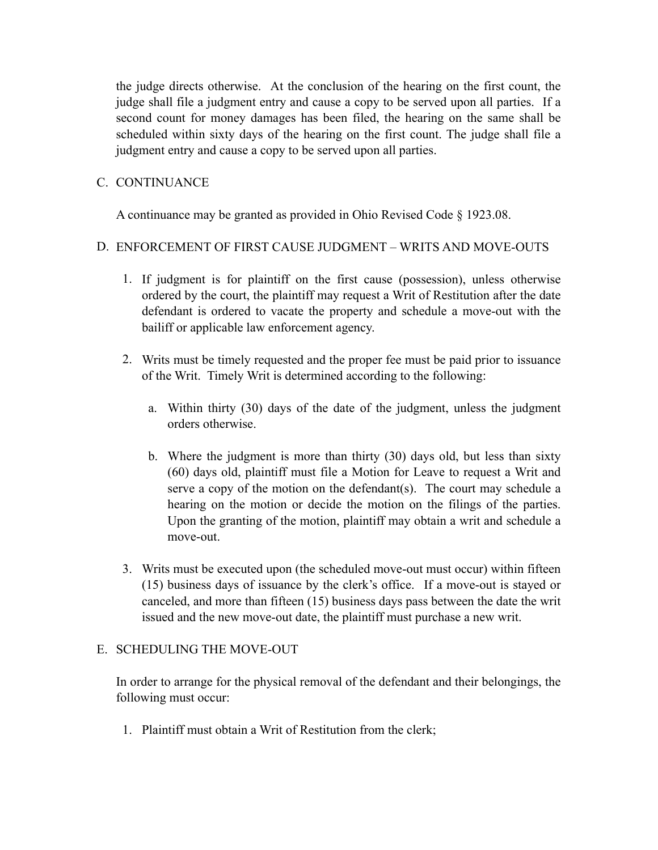the judge directs otherwise. At the conclusion of the hearing on the first count, the judge shall file a judgment entry and cause a copy to be served upon all parties. If a second count for money damages has been filed, the hearing on the same shall be scheduled within sixty days of the hearing on the first count. The judge shall file a judgment entry and cause a copy to be served upon all parties.

### C. CONTINUANCE

A continuance may be granted as provided in Ohio Revised Code § 1923.08.

### D. ENFORCEMENT OF FIRST CAUSE JUDGMENT – WRITS AND MOVE-OUTS

- 1. If judgment is for plaintiff on the first cause (possession), unless otherwise ordered by the court, the plaintiff may request a Writ of Restitution after the date defendant is ordered to vacate the property and schedule a move-out with the bailiff or applicable law enforcement agency.
- 2. Writs must be timely requested and the proper fee must be paid prior to issuance of the Writ. Timely Writ is determined according to the following:
	- a. Within thirty (30) days of the date of the judgment, unless the judgment orders otherwise.
	- b. Where the judgment is more than thirty (30) days old, but less than sixty (60) days old, plaintiff must file a Motion for Leave to request a Writ and serve a copy of the motion on the defendant(s). The court may schedule a hearing on the motion or decide the motion on the filings of the parties. Upon the granting of the motion, plaintiff may obtain a writ and schedule a move-out.
- 3. Writs must be executed upon (the scheduled move-out must occur) within fifteen (15) business days of issuance by the clerk's office. If a move-out is stayed or canceled, and more than fifteen (15) business days pass between the date the writ issued and the new move-out date, the plaintiff must purchase a new writ.

### E. SCHEDULING THE MOVE-OUT

In order to arrange for the physical removal of the defendant and their belongings, the following must occur:

1. Plaintiff must obtain a Writ of Restitution from the clerk;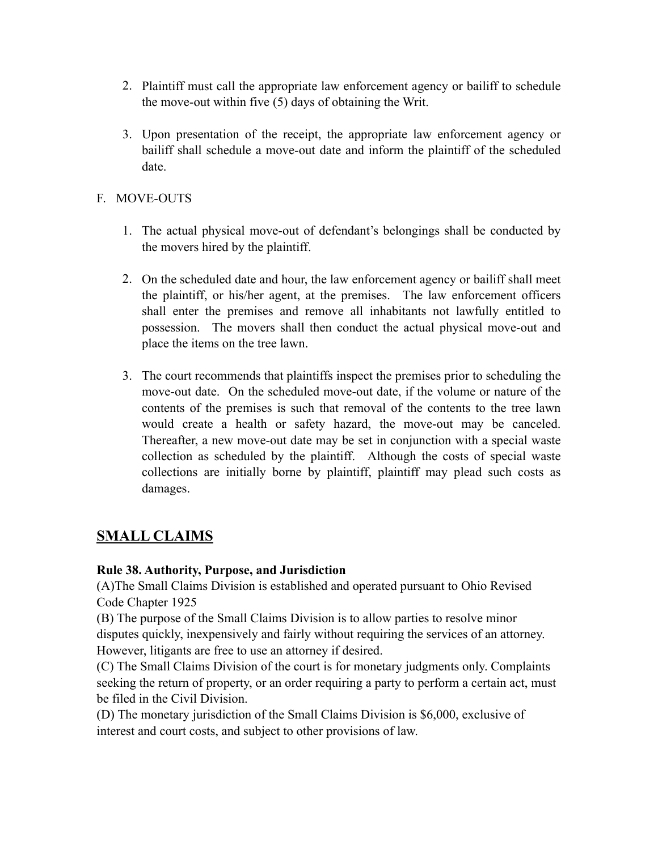- 2. Plaintiff must call the appropriate law enforcement agency or bailiff to schedule the move-out within five (5) days of obtaining the Writ.
- 3. Upon presentation of the receipt, the appropriate law enforcement agency or bailiff shall schedule a move-out date and inform the plaintiff of the scheduled date.

# F. MOVE-OUTS

- 1. The actual physical move-out of defendant's belongings shall be conducted by the movers hired by the plaintiff.
- 2. On the scheduled date and hour, the law enforcement agency or bailiff shall meet the plaintiff, or his/her agent, at the premises. The law enforcement officers shall enter the premises and remove all inhabitants not lawfully entitled to possession. The movers shall then conduct the actual physical move-out and place the items on the tree lawn.
- 3. The court recommends that plaintiffs inspect the premises prior to scheduling the move-out date. On the scheduled move-out date, if the volume or nature of the contents of the premises is such that removal of the contents to the tree lawn would create a health or safety hazard, the move-out may be canceled. Thereafter, a new move-out date may be set in conjunction with a special waste collection as scheduled by the plaintiff. Although the costs of special waste collections are initially borne by plaintiff, plaintiff may plead such costs as damages.

# **SMALL CLAIMS**

### **Rule 38. Authority, Purpose, and Jurisdiction**

(A)The Small Claims Division is established and operated pursuant to Ohio Revised Code Chapter 1925

(B) The purpose of the Small Claims Division is to allow parties to resolve minor disputes quickly, inexpensively and fairly without requiring the services of an attorney. However, litigants are free to use an attorney if desired.

(C) The Small Claims Division of the court is for monetary judgments only. Complaints seeking the return of property, or an order requiring a party to perform a certain act, must be filed in the Civil Division.

(D) The monetary jurisdiction of the Small Claims Division is \$6,000, exclusive of interest and court costs, and subject to other provisions of law.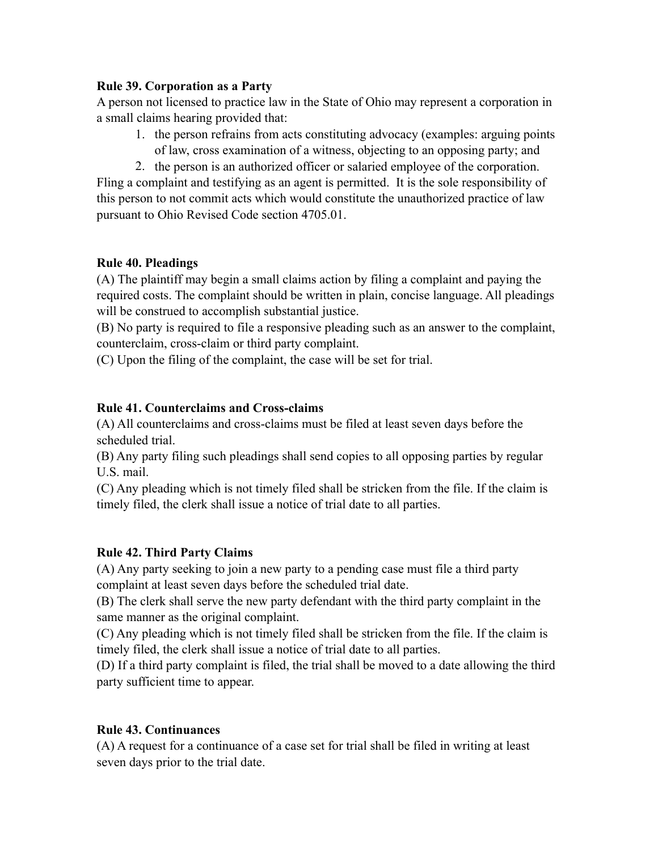### **Rule 39. Corporation as a Party**

A person not licensed to practice law in the State of Ohio may represent a corporation in a small claims hearing provided that:

- 1. the person refrains from acts constituting advocacy (examples: arguing points of law, cross examination of a witness, objecting to an opposing party; and
- 2. the person is an authorized officer or salaried employee of the corporation.

Fling a complaint and testifying as an agent is permitted. It is the sole responsibility of this person to not commit acts which would constitute the unauthorized practice of law pursuant to Ohio Revised Code section 4705.01.

## **Rule 40. Pleadings**

(A) The plaintiff may begin a small claims action by filing a complaint and paying the required costs. The complaint should be written in plain, concise language. All pleadings will be construed to accomplish substantial justice.

(B) No party is required to file a responsive pleading such as an answer to the complaint, counterclaim, cross-claim or third party complaint.

(C) Upon the filing of the complaint, the case will be set for trial.

## **Rule 41. Counterclaims and Cross-claims**

(A) All counterclaims and cross-claims must be filed at least seven days before the scheduled trial.

(B) Any party filing such pleadings shall send copies to all opposing parties by regular U.S. mail.

(C) Any pleading which is not timely filed shall be stricken from the file. If the claim is timely filed, the clerk shall issue a notice of trial date to all parties.

# **Rule 42. Third Party Claims**

(A) Any party seeking to join a new party to a pending case must file a third party complaint at least seven days before the scheduled trial date.

(B) The clerk shall serve the new party defendant with the third party complaint in the same manner as the original complaint.

(C) Any pleading which is not timely filed shall be stricken from the file. If the claim is timely filed, the clerk shall issue a notice of trial date to all parties.

(D) If a third party complaint is filed, the trial shall be moved to a date allowing the third party sufficient time to appear.

### **Rule 43. Continuances**

(A) A request for a continuance of a case set for trial shall be filed in writing at least seven days prior to the trial date.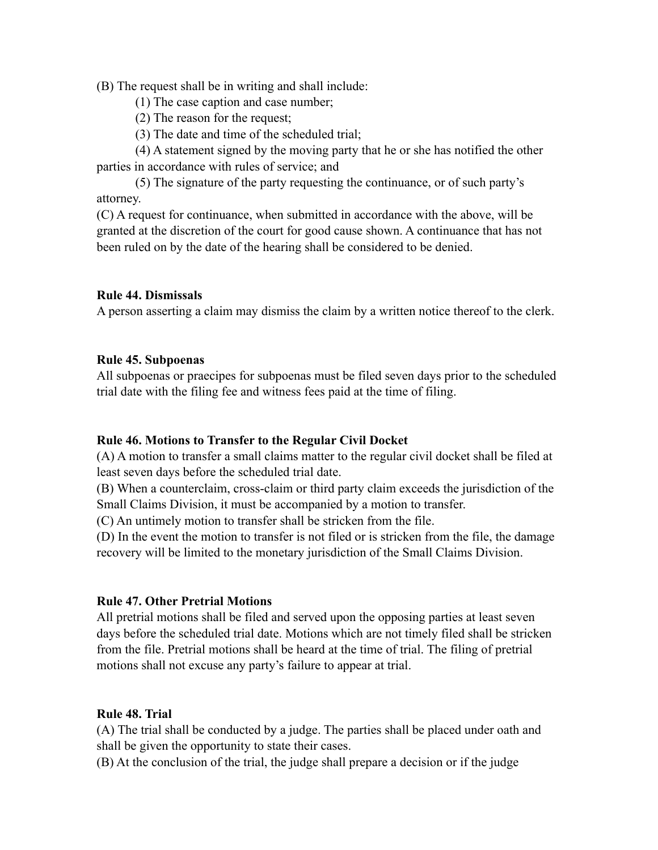(B) The request shall be in writing and shall include:

- (1) The case caption and case number;
- (2) The reason for the request;
- (3) The date and time of the scheduled trial;

 (4) A statement signed by the moving party that he or she has notified the other parties in accordance with rules of service; and

 (5) The signature of the party requesting the continuance, or of such party's attorney.

(C) A request for continuance, when submitted in accordance with the above, will be granted at the discretion of the court for good cause shown. A continuance that has not been ruled on by the date of the hearing shall be considered to be denied.

## **Rule 44. Dismissals**

A person asserting a claim may dismiss the claim by a written notice thereof to the clerk.

### **Rule 45. Subpoenas**

All subpoenas or praecipes for subpoenas must be filed seven days prior to the scheduled trial date with the filing fee and witness fees paid at the time of filing.

### **Rule 46. Motions to Transfer to the Regular Civil Docket**

(A) A motion to transfer a small claims matter to the regular civil docket shall be filed at least seven days before the scheduled trial date.

(B) When a counterclaim, cross-claim or third party claim exceeds the jurisdiction of the Small Claims Division, it must be accompanied by a motion to transfer.

(C) An untimely motion to transfer shall be stricken from the file.

(D) In the event the motion to transfer is not filed or is stricken from the file, the damage recovery will be limited to the monetary jurisdiction of the Small Claims Division.

# **Rule 47. Other Pretrial Motions**

All pretrial motions shall be filed and served upon the opposing parties at least seven days before the scheduled trial date. Motions which are not timely filed shall be stricken from the file. Pretrial motions shall be heard at the time of trial. The filing of pretrial motions shall not excuse any party's failure to appear at trial.

# **Rule 48. Trial**

(A) The trial shall be conducted by a judge. The parties shall be placed under oath and shall be given the opportunity to state their cases.

(B) At the conclusion of the trial, the judge shall prepare a decision or if the judge